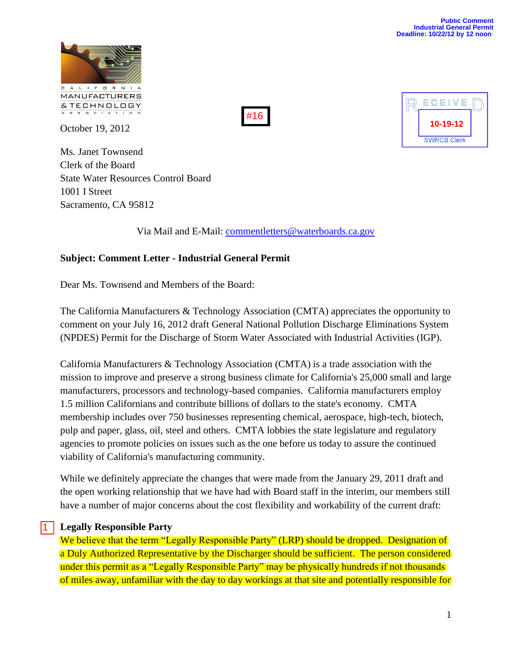

October 19, 2012

Ms. Janet Townsend Clerk of the Board State Water Resources Control Board 1001 I Street Sacramento, CA 95812

#16



Via Mail and E-Mail: [commentletters@waterboards.ca.gov](mailto:commentletters@waterboards.ca.gov)

### **Subject: Comment Letter - Industrial General Permit**

Dear Ms. Townsend and Members of the Board:

The California Manufacturers & Technology Association (CMTA) appreciates the opportunity to comment on your July 16, 2012 draft General National Pollution Discharge Eliminations System (NPDES) Permit for the Discharge of Storm Water Associated with Industrial Activities (IGP).

California Manufacturers & Technology Association (CMTA) is a trade association with the mission to improve and preserve a strong business climate for California's 25,000 small and large manufacturers, processors and technology-based companies. California manufacturers employ 1.5 million Californians and contribute billions of dollars to the state's economy. CMTA membership includes over 750 businesses representing chemical, aerospace, high-tech, biotech, pulp and paper, glass, oil, steel and others. CMTA lobbies the state legislature and regulatory agencies to promote policies on issues such as the one before us today to assure the continued viability of California's manufacturing community.

While we definitely appreciate the changes that were made from the January 29, 2011 draft and the open working relationship that we have had with Board staff in the interim, our members still have a number of major concerns about the cost flexibility and workability of the current draft:

### **Legally Responsible Party**

1

We believe that the term "Legally Responsible Party" (LRP) should be dropped. Designation of a Duly Authorized Representative by the Discharger should be sufficient. The person considered under this permit as a "Legally Responsible Party" may be physically hundreds if not thousands of miles away, unfamiliar with the day to day workings at that site and potentially responsible for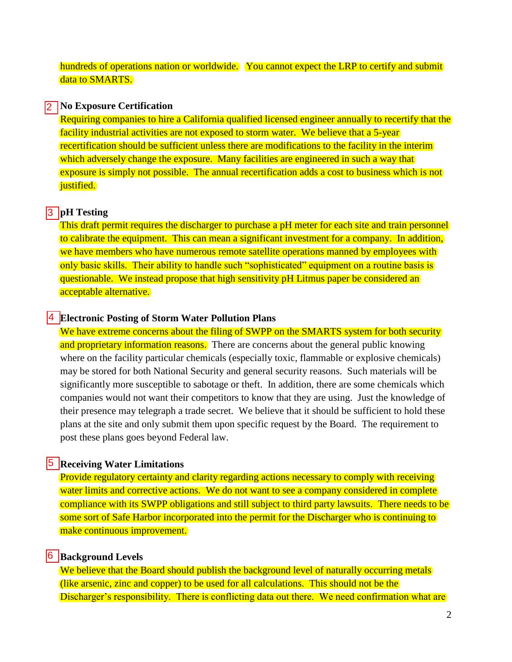hundreds of operations nation or worldwide. You cannot expect the LRP to certify and submit data to **SMARTS**.

### **No Exposure Certification** 12 I

Requiring companies to hire a California qualified licensed engineer annually to recertify that the facility industrial activities are not exposed to storm water. We believe that a 5-year recertification should be sufficient unless there are modifications to the facility in the interim which adversely change the exposure. Many facilities are engineered in such a way that exposure is simply not possible. The annual recertification adds a cost to business which is not justified.

### **pH Testing** 3

This draft permit requires the discharger to purchase a pH meter for each site and train personnel to calibrate the equipment. This can mean a significant investment for a company. In addition, we have members who have numerous remote satellite operations manned by employees with only basic skills. Their ability to handle such "sophisticated" equipment on a routine basis is questionable. We instead propose that high sensitivity pH Litmus paper be considered an acceptable alternative.

### **Electronic Posting of Storm Water Pollution Plans** 4

We have extreme concerns about the filing of SWPP on the SMARTS system for both security and proprietary information reasons. There are concerns about the general public knowing where on the facility particular chemicals (especially toxic, flammable or explosive chemicals) may be stored for both National Security and general security reasons. Such materials will be significantly more susceptible to sabotage or theft. In addition, there are some chemicals which companies would not want their competitors to know that they are using. Just the knowledge of their presence may telegraph a trade secret. We believe that it should be sufficient to hold these plans at the site and only submit them upon specific request by the Board. The requirement to post these plans goes beyond Federal law.

### **Receiving Water Limitations** 5

Provide regulatory certainty and clarity regarding actions necessary to comply with receiving water limits and corrective actions. We do not want to see a company considered in complete compliance with its SWPP obligations and still subject to third party lawsuits. There needs to be some sort of Safe Harbor incorporated into the permit for the Discharger who is continuing to make continuous improvement.

### **6** Background Levels

We believe that the Board should publish the background level of naturally occurring metals (like arsenic, zinc and copper) to be used for all calculations. This should not be the Discharger's responsibility. There is conflicting data out there. We need confirmation what are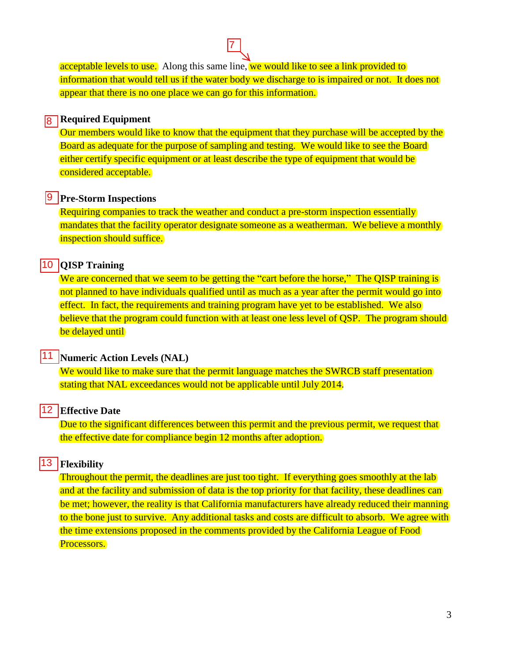acceptable levels to use. Along this same line, we would like to see a link provided to information that would tell us if the water body we discharge to is impaired or not. It does not appear that there is no one place we can go for this information.

7

## **8** Required Equipment

Our members would like to know that the equipment that they purchase will be accepted by the Board as adequate for the purpose of sampling and testing. We would like to see the Board either certify specific equipment or at least describe the type of equipment that would be considered acceptable.

### **9** Pre-Storm Inspections

Requiring companies to track the weather and conduct a pre-storm inspection essentially mandates that the facility operator designate someone as a weatherman. We believe a monthly inspection should suffice.

### **QISP Training**

We are concerned that we seem to be getting the "cart before the horse," The QISP training is not planned to have individuals qualified until as much as a year after the permit would go into effect. In fact, the requirements and training program have yet to be established. We also believe that the program could function with at least one less level of QSP. The program should be delayed until

# **11 Numeric Action Levels (NAL)**  $\frac{10}{11}$ <br> $\frac{12}{13}$

We would like to make sure that the permit language matches the SWRCB staff presentation stating that NAL exceedances would not be applicable until July 2014.

### **Effective Date**

Due to the significant differences between this permit and the previous permit, we request that the effective date for compliance begin 12 months after adoption.

### **Flexibility**

Throughout the permit, the deadlines are just too tight. If everything goes smoothly at the lab and at the facility and submission of data is the top priority for that facility, these deadlines can be met; however, the reality is that California manufacturers have already reduced their manning to the bone just to survive. Any additional tasks and costs are difficult to absorb. We agree with the time extensions proposed in the comments provided by the California League of Food Processors.